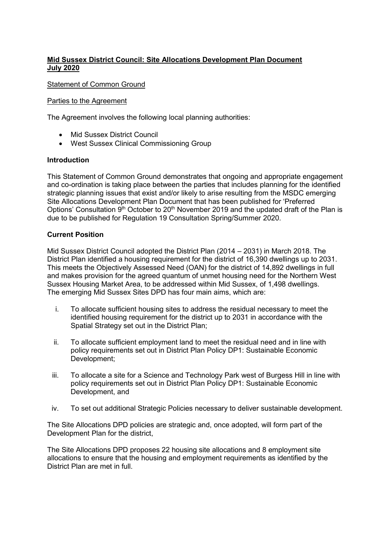# **Mid Sussex District Council: Site Allocations Development Plan Document July 2020**

# Statement of Common Ground

## Parties to the Agreement

The Agreement involves the following local planning authorities:

- Mid Sussex District Council
- West Sussex Clinical Commissioning Group

# **Introduction**

This Statement of Common Ground demonstrates that ongoing and appropriate engagement and co-ordination is taking place between the parties that includes planning for the identified strategic planning issues that exist and/or likely to arise resulting from the MSDC emerging Site Allocations Development Plan Document that has been published for 'Preferred Options' Consultation 9<sup>th</sup> October to 20<sup>th</sup> November 2019 and the updated draft of the Plan is due to be published for Regulation 19 Consultation Spring/Summer 2020.

# **Current Position**

Mid Sussex District Council adopted the District Plan (2014 – 2031) in March 2018. The District Plan identified a housing requirement for the district of 16,390 dwellings up to 2031. This meets the Objectively Assessed Need (OAN) for the district of 14,892 dwellings in full and makes provision for the agreed quantum of unmet housing need for the Northern West Sussex Housing Market Area, to be addressed within Mid Sussex, of 1,498 dwellings. The emerging Mid Sussex Sites DPD has four main aims, which are:

- i. To allocate sufficient housing sites to address the residual necessary to meet the identified housing requirement for the district up to 2031 in accordance with the Spatial Strategy set out in the District Plan;
- ii. To allocate sufficient employment land to meet the residual need and in line with policy requirements set out in District Plan Policy DP1: Sustainable Economic Development;
- iii. To allocate a site for a Science and Technology Park west of Burgess Hill in line with policy requirements set out in District Plan Policy DP1: Sustainable Economic Development, and
- iv. To set out additional Strategic Policies necessary to deliver sustainable development.

The Site Allocations DPD policies are strategic and, once adopted, will form part of the Development Plan for the district,

The Site Allocations DPD proposes 22 housing site allocations and 8 employment site allocations to ensure that the housing and employment requirements as identified by the District Plan are met in full.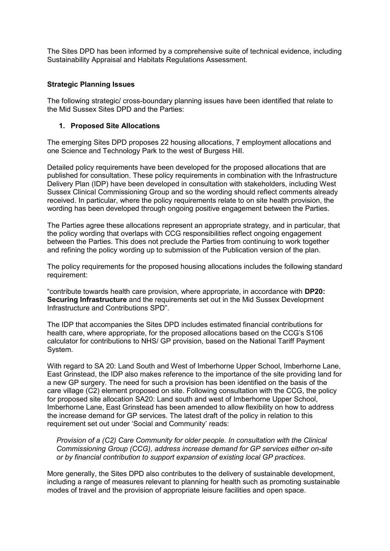The Sites DPD has been informed by a comprehensive suite of technical evidence, including Sustainability Appraisal and Habitats Regulations Assessment.

## **Strategic Planning Issues**

The following strategic/ cross-boundary planning issues have been identified that relate to the Mid Sussex Sites DPD and the Parties:

#### **1. Proposed Site Allocations**

The emerging Sites DPD proposes 22 housing allocations, 7 employment allocations and one Science and Technology Park to the west of Burgess Hill.

Detailed policy requirements have been developed for the proposed allocations that are published for consultation. These policy requirements in combination with the Infrastructure Delivery Plan (IDP) have been developed in consultation with stakeholders, including West Sussex Clinical Commissioning Group and so the wording should reflect comments already received. In particular, where the policy requirements relate to on site health provision, the wording has been developed through ongoing positive engagement between the Parties.

The Parties agree these allocations represent an appropriate strategy, and in particular, that the policy wording that overlaps with CCG responsibilities reflect ongoing engagement between the Parties. This does not preclude the Parties from continuing to work together and refining the policy wording up to submission of the Publication version of the plan.

The policy requirements for the proposed housing allocations includes the following standard requirement:

"contribute towards health care provision, where appropriate, in accordance with **DP20: Securing Infrastructure** and the requirements set out in the Mid Sussex Development Infrastructure and Contributions SPD".

The IDP that accompanies the Sites DPD includes estimated financial contributions for health care, where appropriate, for the proposed allocations based on the CCG's S106 calculator for contributions to NHS/ GP provision, based on the National Tariff Payment System.

With regard to SA 20: Land South and West of Imberhorne Upper School, Imberhorne Lane, East Grinstead, the IDP also makes reference to the importance of the site providing land for a new GP surgery. The need for such a provision has been identified on the basis of the care village (C2) element proposed on site. Following consultation with the CCG, the policy for proposed site allocation SA20: Land south and west of Imberhorne Upper School, Imberhorne Lane, East Grinstead has been amended to allow flexibility on how to address the increase demand for GP services. The latest draft of the policy in relation to this requirement set out under 'Social and Community' reads:

*Provision of a (C2) Care Community for older people. In consultation with the Clinical Commissioning Group (CCG), address increase demand for GP services either on-site or by financial contribution to support expansion of existing local GP practices.*

More generally, the Sites DPD also contributes to the delivery of sustainable development, including a range of measures relevant to planning for health such as promoting sustainable modes of travel and the provision of appropriate leisure facilities and open space.